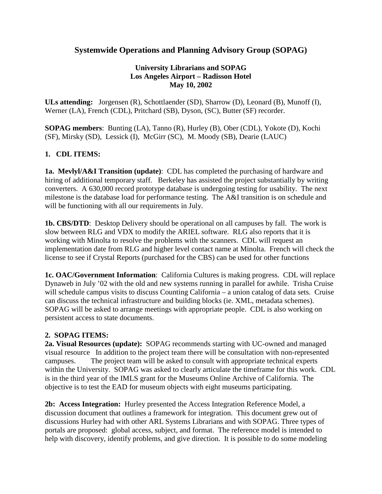# **Systemwide Operations and Planning Advisory Group (SOPAG)**

## **University Librarians and SOPAG Los Angeles Airport – Radisson Hotel May 10, 2002**

**ULs attending:** Jorgensen (R), Schottlaender (SD), Sharrow (D), Leonard (B), Munoff (I), Werner (LA), French (CDL), Pritchard (SB), Dyson, (SC), Butter (SF) recorder.

**SOPAG members**: Bunting (LA), Tanno (R), Hurley (B), Ober (CDL), Yokote (D), Kochi (SF), Mirsky (SD), Lessick (I), McGirr (SC), M. Moody (SB), Dearie (LAUC)

# **1. CDL ITEMS:**

**1a. Mevlyl/A&I Transition (update)**: CDL has completed the purchasing of hardware and hiring of additional temporary staff. Berkeley has assisted the project substantially by writing converters. A 630,000 record prototype database is undergoing testing for usability. The next milestone is the database load for performance testing. The A&I transition is on schedule and will be functioning with all our requirements in July.

**1b. CBS/DTD**: Desktop Delivery should be operational on all campuses by fall. The work is slow between RLG and VDX to modify the ARIEL software. RLG also reports that it is working with Minolta to resolve the problems with the scanners. CDL will request an implementation date from RLG and higher level contact name at Minolta. French will check the license to see if Crystal Reports (purchased for the CBS) can be used for other functions

**1c. OAC/Government Information**: California Cultures is making progress. CDL will replace Dynaweb in July '02 with the old and new systems running in parallel for awhile. Trisha Cruise will schedule campus visits to discuss Counting California – a union catalog of data sets. Cruise can discuss the technical infrastructure and building blocks (ie. XML, metadata schemes). SOPAG will be asked to arrange meetings with appropriate people. CDL is also working on persistent access to state documents.

#### **2. SOPAG ITEMS:**

**2a. Visual Resources (update):** SOPAG recommends starting with UC-owned and managed visual resource In addition to the project team there will be consultation with non-represented campuses. The project team will be asked to consult with appropriate technical experts within the University. SOPAG was asked to clearly articulate the timeframe for this work. CDL is in the third year of the IMLS grant for the Museums Online Archive of California. The objective is to test the EAD for museum objects with eight museums participating.

**2b: Access Integration:** Hurley presented the Access Integration Reference Model, a discussion document that outlines a framework for integration. This document grew out of discussions Hurley had with other ARL Systems Librarians and with SOPAG. Three types of portals are proposed: global access, subject, and format. The reference model is intended to help with discovery, identify problems, and give direction. It is possible to do some modeling